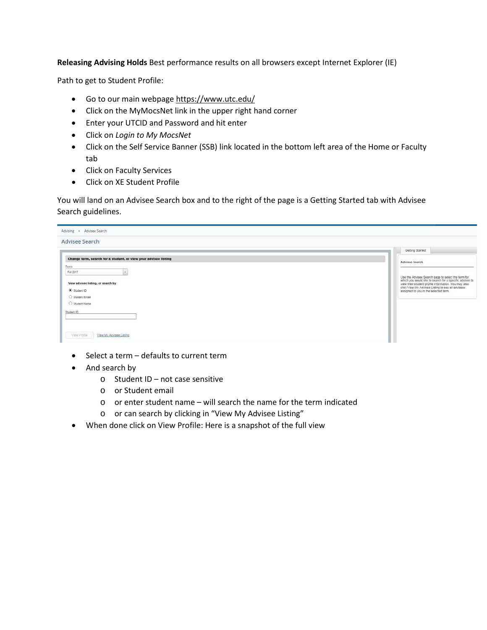**Releasing Advising Holds** Best performance results on all browsers except Internet Explorer (IE)

Path to get to Student Profile:

- Go to our main webpage<https://www.utc.edu/>
- Click on the MyMocsNet link in the upper right hand corner
- Enter your UTCID and Password and hit enter
- Click on *Login to My MocsNet*
- Click on the Self Service Banner (SSB) link located in the bottom left area of the Home or Faculty tab
- Click on Faculty Services
- Click on XE Student Profile

You will land on an Advisee Search box and to the right of the page is a Getting Started tab with Advisee Search guidelines.

| Advising = Advisee Search                                                            |                                                                                                                                                                                                                                                                      |
|--------------------------------------------------------------------------------------|----------------------------------------------------------------------------------------------------------------------------------------------------------------------------------------------------------------------------------------------------------------------|
| Advisee Search                                                                       |                                                                                                                                                                                                                                                                      |
|                                                                                      | Getting Started                                                                                                                                                                                                                                                      |
| Change term, search for a student, or view your advisee listing<br>Term<br>Fall 2017 | Advisee Search                                                                                                                                                                                                                                                       |
| View advisee listing, or search by<br>Student ID                                     | Use the Advisee Search page to select the term for<br>which you would like to search for a specific advisee to<br>view their student profile information. You may also<br>click View My Advisee Listing to see all advisees<br>assigned to you in the selected term. |
| Student Ernall<br>C Student Name                                                     |                                                                                                                                                                                                                                                                      |
| Student ID                                                                           |                                                                                                                                                                                                                                                                      |
| View Protie<br>View My Advisee Listing                                               |                                                                                                                                                                                                                                                                      |

- Select a term defaults to current term
- And search by
	- o Student ID not case sensitive
	- o or Student email
	- o or enter student name will search the name for the term indicated
	- o or can search by clicking in "View My Advisee Listing"
- When done click on View Profile: Here is a snapshot of the full view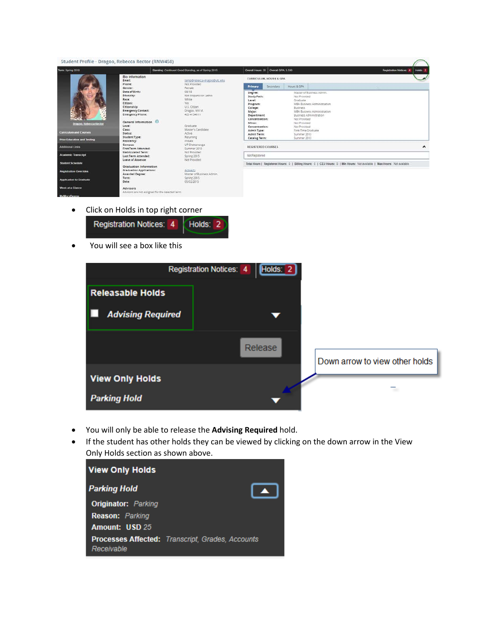| Term: Spring 2018                                                                             |                                                                                                                                                                                                                                               | Standing: Continued Good Standing, as of Spring 2015.                                                                                                                                                                 |                                                                                                                                                                                                                             | Overall Hours: 35 Overall GPA: 3.500 |                                                                                                                                                           |                                                                                                                    |  | <b>Registration Notices:</b><br>Holds 2 |
|-----------------------------------------------------------------------------------------------|-----------------------------------------------------------------------------------------------------------------------------------------------------------------------------------------------------------------------------------------------|-----------------------------------------------------------------------------------------------------------------------------------------------------------------------------------------------------------------------|-----------------------------------------------------------------------------------------------------------------------------------------------------------------------------------------------------------------------------|--------------------------------------|-----------------------------------------------------------------------------------------------------------------------------------------------------------|--------------------------------------------------------------------------------------------------------------------|--|-----------------------------------------|
| Dragoo, Rebecca Rector<br><b>Curriculum and Courses</b><br><b>Prior Education and Testing</b> | Bio Information<br>Email:<br>Phone:<br>Gender:<br>Date of Birth:<br>Ethnicity:<br>Race:<br>Citizen:<br>Citizenship:<br><b>Emergency Contact:</b><br>Emergency Phone:<br>General Information O<br>Level:<br>Class:<br>Status:<br>Student Type: | temp@rebecca-dragoo@utc.edu<br>Not Provided<br>Female<br>08/18<br>Not Hispanic or Latino<br>White<br>Yes.<br>U.S. Citizen<br>Dragoo, Will M.<br>423 4134611<br>Graduate<br>Master's Candidate<br>Active:<br>Returning | CURRICULUM, HOURS & GPA<br>Primary<br>Degree:<br>Study Path:<br>Level:<br>Program:<br>College:<br>Major:<br>Department:<br>Concentration:<br>Minor:<br>Concentration:<br>Admit Type:<br>Admit Term:<br><b>Catalog Term:</b> | Secondary                            | Hours & GPA<br>Not Provided<br>Graduate<br>Business.<br>Not Provided<br>Not Provided<br>Not Provided<br>First-Time Graduate<br>Summer 2013<br>Summer 2013 | Master of Business Admin.<br>MBA Business Administration<br>MBA Business Administration<br>Business Administration |  |                                         |
| Additional Links                                                                              | Residency:<br>Campus:<br>First Term Attended:                                                                                                                                                                                                 | Instate<br>UT Chattanooga<br>Summer 2013                                                                                                                                                                              | <b>REGISTERED COURSES</b>                                                                                                                                                                                                   |                                      |                                                                                                                                                           |                                                                                                                    |  | $\blacktriangle$                        |
| <b>Academic Transcript</b>                                                                    | Matriculated Term:<br>Last Term Attended:<br>Leave of Absence:                                                                                                                                                                                | Not Provided<br>Spring 2015<br>Not Provided                                                                                                                                                                           | Not Registered                                                                                                                                                                                                              |                                      |                                                                                                                                                           |                                                                                                                    |  |                                         |
| <b>Student Schedule</b>                                                                       | Graduation Information                                                                                                                                                                                                                        |                                                                                                                                                                                                                       | Total Hours   Registered Hours: 0   Billing Hours: 0   CEU Hours: 0   Min Hours: Not available   Max Hours: Not available                                                                                                   |                                      |                                                                                                                                                           |                                                                                                                    |  |                                         |
| <b>Registration Overrides</b>                                                                 | <b>Graduation Applications:</b><br>Awarded Degree:                                                                                                                                                                                            | Active(1)<br>Master of Business Admin.                                                                                                                                                                                |                                                                                                                                                                                                                             |                                      |                                                                                                                                                           |                                                                                                                    |  |                                         |
| <b>Application to Graduate</b>                                                                | Term:<br>Date:                                                                                                                                                                                                                                | Spring 2015<br>05/02/2015                                                                                                                                                                                             |                                                                                                                                                                                                                             |                                      |                                                                                                                                                           |                                                                                                                    |  |                                         |
| Week at a Glance                                                                              | <b>Advisors</b><br>Advisors are not assigned for the selected term.                                                                                                                                                                           |                                                                                                                                                                                                                       |                                                                                                                                                                                                                             |                                      |                                                                                                                                                           |                                                                                                                    |  |                                         |

• Click on Holds in top right corner



You will see a box like this



- You will only be able to release the **Advising Required** hold.
- If the student has other holds they can be viewed by clicking on the down arrow in the View Only Holds section as shown above.